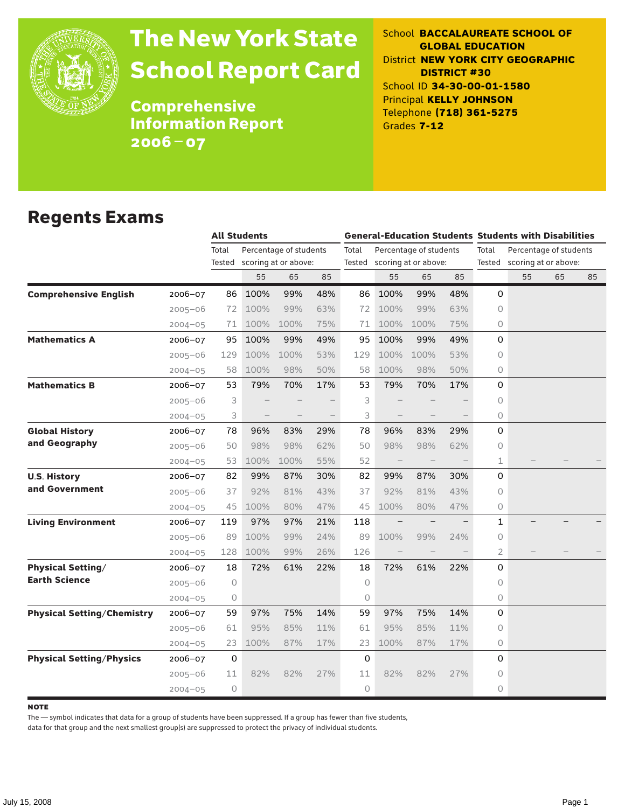

# The New York State School Report Card

School **BACCALAUREATE SCHOOL OF GLOBAL EDUCATION** District **NEW YORK CITY GEOGRAPHIC DISTRICT #30** School ID **34-30-00-01-1580** Principal **KELLY JOHNSON** Telephone **(718) 361-5275** Grades **7-12**

**Comprehensive** Information Report 2006–07

### Regents Exams

|                                              |              | <b>All Students</b> |                        |     |       | <b>General-Education Students Students with Disabilities</b> |                             |     |       |    |                             |    |  |
|----------------------------------------------|--------------|---------------------|------------------------|-----|-------|--------------------------------------------------------------|-----------------------------|-----|-------|----|-----------------------------|----|--|
|                                              | Total        |                     | Percentage of students |     | Total |                                                              | Percentage of students      |     | Total |    | Percentage of students      |    |  |
|                                              | Tested       |                     | scoring at or above:   |     |       |                                                              | Tested scoring at or above: |     |       |    | Tested scoring at or above: |    |  |
|                                              |              | 55                  | 65                     | 85  |       | 55                                                           | 65                          | 85  |       | 55 | 65                          | 85 |  |
| <b>Comprehensive English</b><br>2006-07      | 86           | 100%                | 99%                    | 48% | 86    | 100%                                                         | 99%                         | 48% | 0     |    |                             |    |  |
| $2005 - 06$                                  | 72           | 100%                | 99%                    | 63% | 72    | 100%                                                         | 99%                         | 63% | 0     |    |                             |    |  |
| $2004 - 05$                                  | 71           | 100%                | 100%                   | 75% | 71    | 100%                                                         | 100%                        | 75% | 0     |    |                             |    |  |
| <b>Mathematics A</b><br>2006-07              | 95           | 100%                | 99%                    | 49% | 95    | 100%                                                         | 99%                         | 49% | 0     |    |                             |    |  |
| $2005 - 06$                                  | 129          | 100%                | 100%                   | 53% | 129   | 100%                                                         | 100%                        | 53% | 0     |    |                             |    |  |
| $2004 - 05$                                  | 58           | 100%                | 98%                    | 50% | 58    | 100%                                                         | 98%                         | 50% | 0     |    |                             |    |  |
| <b>Mathematics B</b><br>$2006 - 07$          | 53           | 79%                 | 70%                    | 17% | 53    | 79%                                                          | 70%                         | 17% | 0     |    |                             |    |  |
| $2005 - 06$                                  | 3            |                     |                        |     | 3     |                                                              |                             |     | 0     |    |                             |    |  |
| $2004 - 05$                                  | 3            |                     |                        |     | 3     |                                                              |                             |     | 0     |    |                             |    |  |
| <b>Global History</b><br>2006-07             | 78           | 96%                 | 83%                    | 29% | 78    | 96%                                                          | 83%                         | 29% | 0     |    |                             |    |  |
| and Geography<br>$2005 - 06$                 | 50           | 98%                 | 98%                    | 62% | 50    | 98%                                                          | 98%                         | 62% | 0     |    |                             |    |  |
| $2004 - 05$                                  | 53           | 100%                | 100%                   | 55% | 52    | $\overline{\phantom{0}}$                                     |                             |     | 1     |    |                             |    |  |
| <b>U.S. History</b><br>2006-07               | 82           | 99%                 | 87%                    | 30% | 82    | 99%                                                          | 87%                         | 30% | 0     |    |                             |    |  |
| and Government<br>$2005 - 06$                | 37           | 92%                 | 81%                    | 43% | 37    | 92%                                                          | 81%                         | 43% | 0     |    |                             |    |  |
| $2004 - 05$                                  | 45           | 100%                | 80%                    | 47% | 45    | 100%                                                         | 80%                         | 47% | 0     |    |                             |    |  |
| <b>Living Environment</b><br>$2006 - 07$     | 119          | 97%                 | 97%                    | 21% | 118   | $\overline{\phantom{m}}$                                     |                             |     | 1     |    |                             |    |  |
| $2005 - 06$                                  | 89           | 100%                | 99%                    | 24% | 89    | 100%                                                         | 99%                         | 24% | 0     |    |                             |    |  |
| $2004 - 05$                                  | 128          | 100%                | 99%                    | 26% | 126   | $\hspace{0.1mm}-\hspace{0.1mm}$                              |                             |     | 2     |    |                             |    |  |
| <b>Physical Setting/</b><br>2006-07          | 18           | 72%                 | 61%                    | 22% | 18    | 72%                                                          | 61%                         | 22% | 0     |    |                             |    |  |
| <b>Earth Science</b><br>$2005 - 06$          | 0            |                     |                        |     | 0     |                                                              |                             |     | 0     |    |                             |    |  |
| $2004 - 05$                                  | 0            |                     |                        |     | 0     |                                                              |                             |     | 0     |    |                             |    |  |
| <b>Physical Setting/Chemistry</b><br>2006-07 | 59           | 97%                 | 75%                    | 14% | 59    | 97%                                                          | 75%                         | 14% | 0     |    |                             |    |  |
| $2005 - 06$                                  | 61           | 95%                 | 85%                    | 11% | 61    | 95%                                                          | 85%                         | 11% | 0     |    |                             |    |  |
| $2004 - 05$                                  | 23           | 100%                | 87%                    | 17% | 23    | 100%                                                         | 87%                         | 17% | 0     |    |                             |    |  |
| <b>Physical Setting/Physics</b><br>2006-07   | $\mathsf{O}$ |                     |                        |     | 0     |                                                              |                             |     | 0     |    |                             |    |  |
| $2005 - 06$                                  | 11           | 82%                 | 82%                    | 27% | 11    | 82%                                                          | 82%                         | 27% | 0     |    |                             |    |  |
| $2004 - 05$                                  | 0            |                     |                        |     | 0     |                                                              |                             |     | 0     |    |                             |    |  |

#### **NOTE**

The — symbol indicates that data for a group of students have been suppressed. If a group has fewer than five students,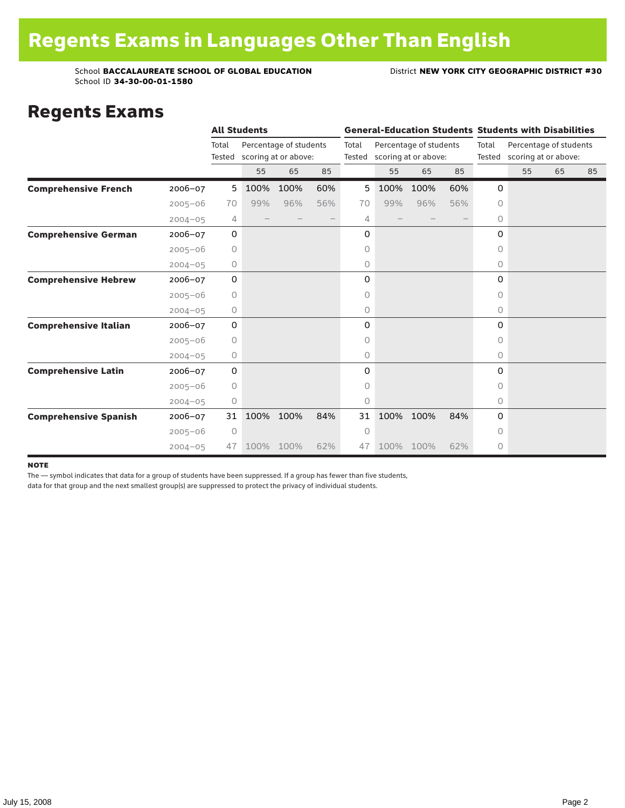#### Regents Exams

|                              |             |             | <b>All Students</b> |                                                       |     |       |      |                                                       |     |           | <b>General-Education Students Students with Disabilities</b> |    |    |  |
|------------------------------|-------------|-------------|---------------------|-------------------------------------------------------|-----|-------|------|-------------------------------------------------------|-----|-----------|--------------------------------------------------------------|----|----|--|
|                              |             | Total       |                     | Percentage of students<br>Tested scoring at or above: |     | Total |      | Percentage of students<br>Tested scoring at or above: |     | Total     | Percentage of students<br>Tested scoring at or above:        |    |    |  |
|                              |             |             | 55                  | 65                                                    | 85  |       | 55   | 65                                                    | 85  |           | 55                                                           | 65 | 85 |  |
| <b>Comprehensive French</b>  | 2006-07     | 5           | 100%                | 100%                                                  | 60% | 5     | 100% | 100%                                                  | 60% | 0         |                                                              |    |    |  |
|                              | $2005 - 06$ | 70          | 99%                 | 96%                                                   | 56% | 70    | 99%  | 96%                                                   | 56% | 0         |                                                              |    |    |  |
|                              | $2004 - 05$ | 4           |                     |                                                       |     | 4     |      |                                                       |     | 0         |                                                              |    |    |  |
| <b>Comprehensive German</b>  | 2006-07     | $\mathbf 0$ |                     |                                                       |     | 0     |      |                                                       |     | 0         |                                                              |    |    |  |
|                              | $2005 - 06$ | 0           |                     |                                                       |     | 0     |      |                                                       |     | 0         |                                                              |    |    |  |
|                              | $2004 - 05$ | 0           |                     |                                                       |     | 0     |      |                                                       |     | 0         |                                                              |    |    |  |
| <b>Comprehensive Hebrew</b>  | 2006-07     | 0           |                     |                                                       |     | 0     |      |                                                       |     | 0         |                                                              |    |    |  |
|                              | $2005 - 06$ | 0           |                     |                                                       |     | 0     |      |                                                       |     | $\circ$   |                                                              |    |    |  |
|                              | $2004 - 05$ | 0           |                     |                                                       |     | 0     |      |                                                       |     | 0         |                                                              |    |    |  |
| <b>Comprehensive Italian</b> | 2006-07     | 0           |                     |                                                       |     | 0     |      |                                                       |     | 0         |                                                              |    |    |  |
|                              | $2005 - 06$ | 0           |                     |                                                       |     | 0     |      |                                                       |     | 0         |                                                              |    |    |  |
|                              | $2004 - 05$ | 0           |                     |                                                       |     | 0     |      |                                                       |     | 0         |                                                              |    |    |  |
| <b>Comprehensive Latin</b>   | 2006-07     | $\mathbf 0$ |                     |                                                       |     | 0     |      |                                                       |     | 0         |                                                              |    |    |  |
|                              | $2005 - 06$ | 0           |                     |                                                       |     | 0     |      |                                                       |     | $\bigcap$ |                                                              |    |    |  |
|                              | $2004 - 05$ | 0           |                     |                                                       |     | 0     |      |                                                       |     | 0         |                                                              |    |    |  |
| <b>Comprehensive Spanish</b> | 2006-07     | 31          | 100%                | 100%                                                  | 84% | 31    | 100% | 100%                                                  | 84% | 0         |                                                              |    |    |  |
|                              | $2005 - 06$ | 0           |                     |                                                       |     | 0     |      |                                                       |     | 0         |                                                              |    |    |  |
|                              | $2004 - 05$ | 47          | 100%                | 100%                                                  | 62% | 47    |      | 100% 100%                                             | 62% | 0         |                                                              |    |    |  |

#### note

The — symbol indicates that data for a group of students have been suppressed. If a group has fewer than five students,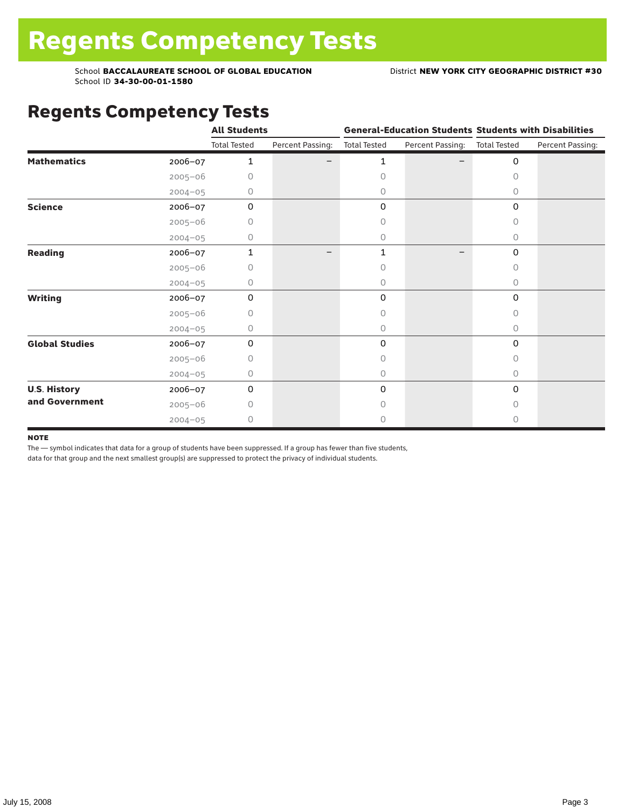## Regents Competency Tests

|                       |             | <b>All Students</b> |                  |                     |                  | <b>General-Education Students Students with Disabilities</b> |                  |  |
|-----------------------|-------------|---------------------|------------------|---------------------|------------------|--------------------------------------------------------------|------------------|--|
|                       |             | <b>Total Tested</b> | Percent Passing: | <b>Total Tested</b> | Percent Passing: | <b>Total Tested</b>                                          | Percent Passing: |  |
| <b>Mathematics</b>    | 2006-07     | 1                   |                  | 1                   |                  | 0                                                            |                  |  |
|                       | $2005 - 06$ | 0                   |                  | $\Omega$            |                  | 0                                                            |                  |  |
|                       | $2004 - 05$ | 0                   |                  | 0                   |                  | $\circ$                                                      |                  |  |
| <b>Science</b>        | 2006-07     | 0                   |                  | 0                   |                  | 0                                                            |                  |  |
|                       | $2005 - 06$ | 0                   |                  | 0                   |                  | 0                                                            |                  |  |
|                       | $2004 - 05$ | 0                   |                  | 0                   |                  | 0                                                            |                  |  |
| Reading               | 2006-07     | 1                   | —                | 1                   |                  | 0                                                            |                  |  |
|                       | $2005 - 06$ | Ω                   |                  | 0                   |                  | 0                                                            |                  |  |
|                       | $2004 - 05$ | 0                   |                  | $\circ$             |                  | 0                                                            |                  |  |
| <b>Writing</b>        | 2006-07     | 0                   |                  | 0                   |                  | 0                                                            |                  |  |
|                       | $2005 - 06$ | 0                   |                  | $\circ$             |                  | 0                                                            |                  |  |
|                       | $2004 - 05$ | 0                   |                  | 0                   |                  | 0                                                            |                  |  |
| <b>Global Studies</b> | 2006-07     | 0                   |                  | 0                   |                  | 0                                                            |                  |  |
|                       | $2005 - 06$ | 0                   |                  | $\circ$             |                  | 0                                                            |                  |  |
|                       | $2004 - 05$ | 0                   |                  | $\circ$             |                  | 0                                                            |                  |  |
| <b>U.S. History</b>   | 2006-07     | 0                   |                  | 0                   |                  | $\Omega$                                                     |                  |  |
| and Government        | $2005 - 06$ | 0                   |                  | $\Omega$            |                  | <sup>n</sup>                                                 |                  |  |
|                       | $2004 - 05$ | 0                   |                  | 0                   |                  | 0                                                            |                  |  |

#### **NOTE**

The — symbol indicates that data for a group of students have been suppressed. If a group has fewer than five students,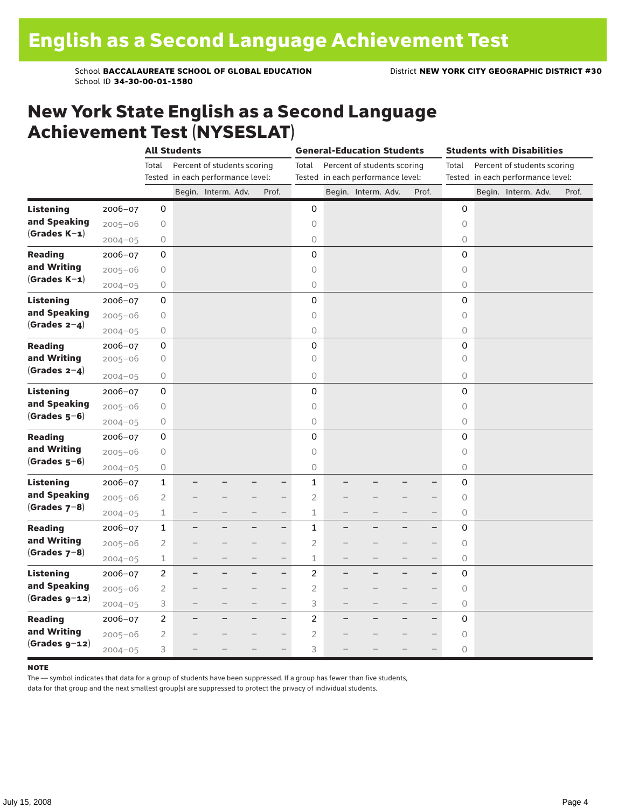### New York State English as a Second Language Achievement Test (NYSESLAT)

|                  |             |                | <b>All Students</b>               |                             |   | <b>General-Education Students</b> |                |   |                                   |  | <b>Students with Disabilities</b> |                     |  |  |                                   |       |
|------------------|-------------|----------------|-----------------------------------|-----------------------------|---|-----------------------------------|----------------|---|-----------------------------------|--|-----------------------------------|---------------------|--|--|-----------------------------------|-------|
|                  |             | Total          |                                   | Percent of students scoring |   |                                   | Total          |   | Percent of students scoring       |  |                                   | Total               |  |  | Percent of students scoring       |       |
|                  |             |                | Tested in each performance level: |                             |   |                                   |                |   | Tested in each performance level: |  |                                   |                     |  |  | Tested in each performance level: |       |
|                  |             |                |                                   | Begin. Interm. Adv.         |   | Prof.                             |                |   | Begin. Interm. Adv.               |  | Prof.                             |                     |  |  | Begin. Interm. Adv.               | Prof. |
| <b>Listening</b> | 2006-07     | 0              |                                   |                             |   |                                   | 0              |   |                                   |  |                                   | 0                   |  |  |                                   |       |
| and Speaking     | $2005 - 06$ | 0              |                                   |                             |   |                                   | 0              |   |                                   |  |                                   | $\circ$             |  |  |                                   |       |
| $(Grades K-1)$   | $2004 - 05$ | 0              |                                   |                             |   |                                   | 0              |   |                                   |  |                                   | $\circlearrowright$ |  |  |                                   |       |
| <b>Reading</b>   | 2006-07     | 0              |                                   |                             |   |                                   | 0              |   |                                   |  |                                   | $\mathbf 0$         |  |  |                                   |       |
| and Writing      | $2005 - 06$ | $\bigcirc$     |                                   |                             |   |                                   | 0              |   |                                   |  |                                   | $\circ$             |  |  |                                   |       |
| $(Grades K-1)$   | $2004 - 05$ | 0              |                                   |                             |   |                                   | $\circ$        |   |                                   |  |                                   | $\circ$             |  |  |                                   |       |
| <b>Listening</b> | 2006-07     | 0              |                                   |                             |   |                                   | 0              |   |                                   |  |                                   | $\mathsf 0$         |  |  |                                   |       |
| and Speaking     | $2005 - 06$ | 0              |                                   |                             |   |                                   | 0              |   |                                   |  |                                   | $\circ$             |  |  |                                   |       |
| (Grades $2-4$ )  | $2004 - 05$ | 0              |                                   |                             |   |                                   | 0              |   |                                   |  |                                   | $\bigcirc$          |  |  |                                   |       |
| <b>Reading</b>   | 2006-07     | 0              |                                   |                             |   |                                   | 0              |   |                                   |  |                                   | $\mathbf 0$         |  |  |                                   |       |
| and Writing      | $2005 - 06$ | 0              |                                   |                             |   |                                   | $\circ$        |   |                                   |  |                                   | $\circ$             |  |  |                                   |       |
| (Grades $2-4$ )  | $2004 - 05$ | 0              |                                   |                             |   |                                   | $\bigcirc$     |   |                                   |  |                                   | $\circ$             |  |  |                                   |       |
| <b>Listening</b> | 2006-07     | 0              |                                   |                             |   |                                   | 0              |   |                                   |  |                                   | $\Omega$            |  |  |                                   |       |
| and Speaking     | $2005 - 06$ | 0              |                                   |                             |   |                                   | 0              |   |                                   |  |                                   | $\circ$             |  |  |                                   |       |
| $(Grades 5-6)$   | $2004 - 05$ | 0              |                                   |                             |   |                                   | 0              |   |                                   |  |                                   | $\mathsf O$         |  |  |                                   |       |
| <b>Reading</b>   | $2006 - 07$ | 0              |                                   |                             |   |                                   | 0              |   |                                   |  |                                   | $\mathbf 0$         |  |  |                                   |       |
| and Writing      | $2005 - 06$ | $\bigcirc$     |                                   |                             |   |                                   | 0              |   |                                   |  |                                   | $\circ$             |  |  |                                   |       |
| $(Grades 5-6)$   | $2004 - 05$ | 0              |                                   |                             |   |                                   | $\circ$        |   |                                   |  |                                   | $\circ$             |  |  |                                   |       |
| <b>Listening</b> | 2006-07     | $\mathbf{1}$   |                                   |                             |   | -                                 | $\mathbf 1$    |   |                                   |  |                                   | $\mathbf 0$         |  |  |                                   |       |
| and Speaking     | $2005 - 06$ | $\overline{c}$ |                                   |                             |   | -                                 | $\overline{c}$ |   |                                   |  |                                   | $\circ$             |  |  |                                   |       |
| $(Grades 7-8)$   | $2004 - 05$ | 1              |                                   |                             |   | $\overline{\phantom{0}}$          | $\mathbf 1$    |   |                                   |  | $\qquad \qquad -$                 | 0                   |  |  |                                   |       |
| <b>Reading</b>   | 2006-07     | 1              |                                   |                             |   | $\overline{\phantom{0}}$          | 1              |   |                                   |  | $\overline{\phantom{0}}$          | 0                   |  |  |                                   |       |
| and Writing      | $2005 - 06$ | $\overline{2}$ |                                   |                             |   |                                   | $\overline{2}$ |   |                                   |  |                                   | $\circ$             |  |  |                                   |       |
| $(Grades 7-8)$   | $2004 - 05$ | $\mathbf 1$    |                                   |                             |   | $\qquad \qquad -$                 | $\mathbf 1$    |   |                                   |  | $\overline{\phantom{0}}$          | $\circ$             |  |  |                                   |       |
| <b>Listening</b> | 2006-07     | $\overline{c}$ | -                                 |                             | - | $\qquad \qquad -$                 | $\overline{c}$ | - |                                   |  | $\qquad \qquad -$                 | 0                   |  |  |                                   |       |
| and Speaking     | $2005 - 06$ | $\mathbf{2}$   |                                   |                             |   | $\overline{\phantom{0}}$          | $\overline{c}$ |   |                                   |  |                                   | $\circ$             |  |  |                                   |       |
| $(Grades g-12)$  | $2004 - 05$ | 3              |                                   |                             |   | $\overline{\phantom{0}}$          | 3              |   |                                   |  |                                   | $\bigcirc$          |  |  |                                   |       |
| <b>Reading</b>   | 2006-07     | $\overline{c}$ |                                   |                             |   | $\qquad \qquad -$                 | $\mathbf 2$    |   |                                   |  | $\overline{\phantom{0}}$          | 0                   |  |  |                                   |       |
| and Writing      | $2005 - 06$ | $\overline{2}$ |                                   |                             |   | $\overline{\phantom{0}}$          | $\mathbf{2}$   |   |                                   |  |                                   | $\circ$             |  |  |                                   |       |
| $(Grades g-12)$  | $2004 - 05$ | 3              |                                   |                             |   |                                   | 3              |   |                                   |  |                                   | $\circ$             |  |  |                                   |       |

#### **NOTE**

The — symbol indicates that data for a group of students have been suppressed. If a group has fewer than five students,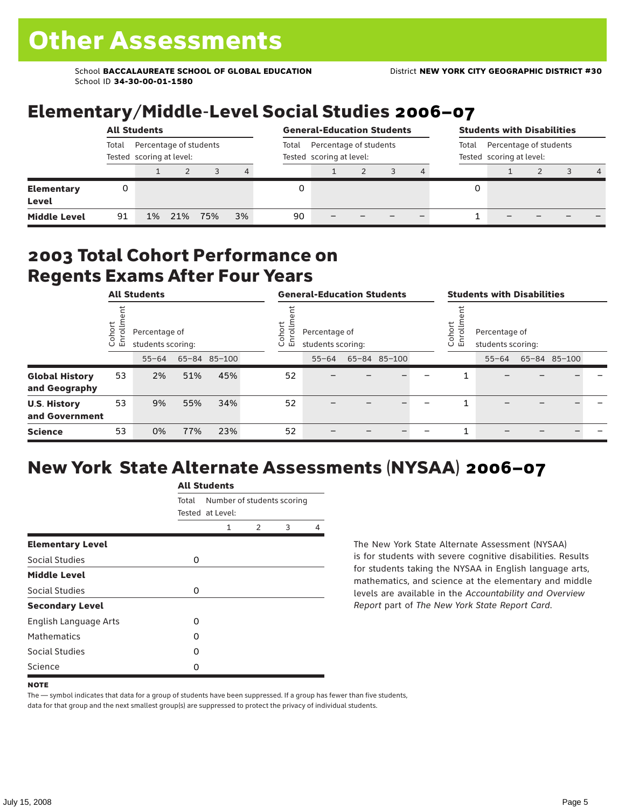### Elementary/Middle-Level Social Studies 2006–07

|                                   | <b>All Students</b>                                         |       |     |     |       |                                                    | <b>General-Education Students</b> |  |  |  |                                                             | <b>Students with Disabilities</b> |  |  |   |  |  |
|-----------------------------------|-------------------------------------------------------------|-------|-----|-----|-------|----------------------------------------------------|-----------------------------------|--|--|--|-------------------------------------------------------------|-----------------------------------|--|--|---|--|--|
|                                   | Percentage of students<br>Total<br>Tested scoring at level: |       |     |     | Total | Percentage of students<br>Tested scoring at level: |                                   |  |  |  | Percentage of students<br>Total<br>Tested scoring at level: |                                   |  |  |   |  |  |
|                                   |                                                             |       |     |     | 4     |                                                    |                                   |  |  |  |                                                             |                                   |  |  | 4 |  |  |
| <b>Elementary</b><br><b>Level</b> | 0                                                           |       |     |     |       |                                                    |                                   |  |  |  | 0                                                           |                                   |  |  |   |  |  |
| <b>Middle Level</b>               | 91                                                          | $1\%$ | 21% | 75% | 3%    | 90                                                 |                                   |  |  |  |                                                             |                                   |  |  |   |  |  |

#### 2003 Total Cohort Performance on Regents Exams After Four Years

|                                        | <b>All Students</b> |                                    |     | <b>General-Education Students</b> |                                                                     |           |  |              | <b>Students with Disabilities</b>                      |  |           |  |              |  |
|----------------------------------------|---------------------|------------------------------------|-----|-----------------------------------|---------------------------------------------------------------------|-----------|--|--------------|--------------------------------------------------------|--|-----------|--|--------------|--|
|                                        | Cohort<br>Enrollm   | Percentage of<br>students scoring: |     |                                   | Cohort<br>$\frac{11}{2}$<br>Percentage of<br>巴<br>students scoring: |           |  |              | Cohort<br>Percentage of<br>ā<br>훕<br>students scoring: |  |           |  |              |  |
|                                        |                     | $55 - 64$                          |     | 65-84 85-100                      |                                                                     | $55 - 64$ |  | 65-84 85-100 |                                                        |  | $55 - 64$ |  | 65-84 85-100 |  |
| <b>Global History</b><br>and Geography | 53                  | 2%                                 | 51% | 45%                               | 52                                                                  |           |  |              |                                                        |  |           |  |              |  |
| <b>U.S. History</b><br>and Government  | 53                  | 9%                                 | 55% | 34%                               | 52                                                                  |           |  |              |                                                        |  |           |  |              |  |
| <b>Science</b>                         | 53                  | 0%                                 | 77% | 23%                               | 52                                                                  |           |  |              |                                                        |  |           |  |              |  |

### New York State Alternate Assessments (NYSAA) 2006–07

|                         | <b>All Students</b> |                                                |               |   |   |  |  |  |  |  |  |
|-------------------------|---------------------|------------------------------------------------|---------------|---|---|--|--|--|--|--|--|
|                         | Total               | Number of students scoring<br>Tested at Level: |               |   |   |  |  |  |  |  |  |
|                         |                     | 1                                              | $\mathcal{P}$ | 3 | 4 |  |  |  |  |  |  |
| <b>Elementary Level</b> |                     |                                                |               |   |   |  |  |  |  |  |  |
| Social Studies          | 0                   |                                                |               |   |   |  |  |  |  |  |  |
| <b>Middle Level</b>     |                     |                                                |               |   |   |  |  |  |  |  |  |
| Social Studies          | 0                   |                                                |               |   |   |  |  |  |  |  |  |
| <b>Secondary Level</b>  |                     |                                                |               |   |   |  |  |  |  |  |  |
| English Language Arts   | 0                   |                                                |               |   |   |  |  |  |  |  |  |
| <b>Mathematics</b>      | O                   |                                                |               |   |   |  |  |  |  |  |  |
| Social Studies          | O                   |                                                |               |   |   |  |  |  |  |  |  |
| Science                 | 0                   |                                                |               |   |   |  |  |  |  |  |  |

The New York State Alternate Assessment (NYSAA) is for students with severe cognitive disabilities. Results for students taking the NYSAA in English language arts, mathematics, and science at the elementary and middle levels are available in the *Accountability and Overview Report* part of *The New York State Report Card*.

The — symbol indicates that data for a group of students have been suppressed. If a group has fewer than five students, data for that group and the next smallest group(s) are suppressed to protect the privacy of individual students.

**NOTE**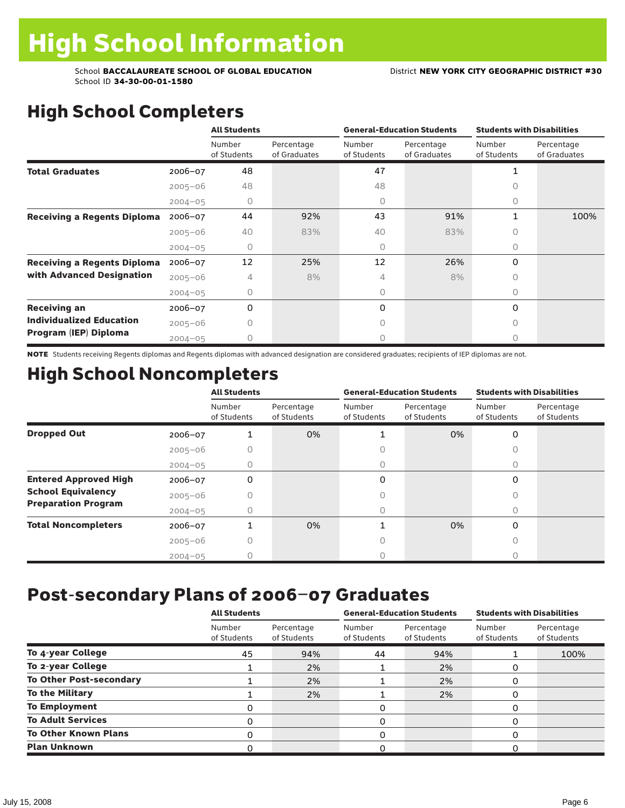# High School Completers

|                                    |             | <b>All Students</b>   |                            |                       | <b>General-Education Students</b> | <b>Students with Disabilities</b> |                            |  |
|------------------------------------|-------------|-----------------------|----------------------------|-----------------------|-----------------------------------|-----------------------------------|----------------------------|--|
|                                    |             | Number<br>of Students | Percentage<br>of Graduates | Number<br>of Students | Percentage<br>of Graduates        | Number<br>of Students             | Percentage<br>of Graduates |  |
| <b>Total Graduates</b>             | 2006-07     | 48                    |                            | 47                    |                                   |                                   |                            |  |
|                                    | $2005 - 06$ | 48                    |                            | 48                    |                                   |                                   |                            |  |
|                                    | $2004 - 05$ | 0                     |                            | 0                     |                                   | 0                                 |                            |  |
| <b>Receiving a Regents Diploma</b> | $2006 - 07$ | 44                    | 92%                        | 43                    | 91%                               | $\mathbf{1}$                      | 100%                       |  |
|                                    | $2005 - 06$ | 40                    | 83%                        | 40                    | 83%                               | 0                                 |                            |  |
|                                    | $2004 - 05$ | $\Omega$              |                            | 0                     |                                   | 0                                 |                            |  |
| <b>Receiving a Regents Diploma</b> | $2006 - 07$ | 12                    | 25%                        | 12                    | 26%                               | 0                                 |                            |  |
| with Advanced Designation          | $2005 - 06$ | 4                     | 8%                         | 4                     | 8%                                | Ω                                 |                            |  |
|                                    | $2004 - 05$ | 0                     |                            | 0                     |                                   | 0                                 |                            |  |
| <b>Receiving an</b>                | $2006 - 07$ | 0                     |                            | 0                     |                                   | $\Omega$                          |                            |  |
| <b>Individualized Education</b>    | $2005 - 06$ | Λ                     |                            | $\bigcap$             |                                   | n                                 |                            |  |
| Program (IEP) Diploma              | $2004 - 05$ |                       |                            | 0                     |                                   | Ω                                 |                            |  |

NOTE Students receiving Regents diplomas and Regents diplomas with advanced designation are considered graduates; recipients of IEP diplomas are not.

## High School Noncompleters

|                              |             | <b>All Students</b>   |                           |                       | <b>General-Education Students</b> | <b>Students with Disabilities</b> |                           |  |  |
|------------------------------|-------------|-----------------------|---------------------------|-----------------------|-----------------------------------|-----------------------------------|---------------------------|--|--|
|                              |             | Number<br>of Students | Percentage<br>of Students | Number<br>of Students | Percentage<br>of Students         | Number<br>of Students             | Percentage<br>of Students |  |  |
| <b>Dropped Out</b>           | 2006-07     |                       | 0%                        |                       | 0%                                | 0                                 |                           |  |  |
|                              | $2005 - 06$ |                       |                           |                       |                                   | Ω                                 |                           |  |  |
|                              | $2004 - 05$ | 0                     |                           | 0                     |                                   | 0                                 |                           |  |  |
| <b>Entered Approved High</b> | 2006-07     | 0                     |                           | 0                     |                                   | $\Omega$                          |                           |  |  |
| <b>School Equivalency</b>    | $2005 - 06$ |                       |                           |                       |                                   |                                   |                           |  |  |
| <b>Preparation Program</b>   | $2004 - 05$ | U                     |                           | 0                     |                                   | 0                                 |                           |  |  |
| <b>Total Noncompleters</b>   | $2006 - 07$ |                       | 0%                        |                       | 0%                                | $\Omega$                          |                           |  |  |
|                              | $2005 - 06$ |                       |                           |                       |                                   |                                   |                           |  |  |
|                              | $2004 - 05$ |                       |                           |                       |                                   |                                   |                           |  |  |

### Post-secondary Plans of 2006–07 Graduates

|                                | <b>All Students</b>   |                           |                       | <b>General-Education Students</b> | <b>Students with Disabilities</b> |                           |  |  |
|--------------------------------|-----------------------|---------------------------|-----------------------|-----------------------------------|-----------------------------------|---------------------------|--|--|
|                                | Number<br>of Students | Percentage<br>of Students | Number<br>of Students | Percentage<br>of Students         | Number<br>of Students             | Percentage<br>of Students |  |  |
| To 4-year College              | 45                    | 94%                       | 44                    | 94%                               |                                   | 100%                      |  |  |
| To 2-year College              |                       | 2%                        |                       | 2%                                | 0                                 |                           |  |  |
| <b>To Other Post-secondary</b> |                       | 2%                        |                       | 2%                                | 0                                 |                           |  |  |
| <b>To the Military</b>         |                       | 2%                        |                       | 2%                                | 0                                 |                           |  |  |
| <b>To Employment</b>           | 0                     |                           | 0                     |                                   | 0                                 |                           |  |  |
| <b>To Adult Services</b>       | 0                     |                           | 0                     |                                   | 0                                 |                           |  |  |
| <b>To Other Known Plans</b>    | $\Omega$              |                           | 0                     |                                   | $\Omega$                          |                           |  |  |
| <b>Plan Unknown</b>            |                       |                           | 0                     |                                   | 0                                 |                           |  |  |